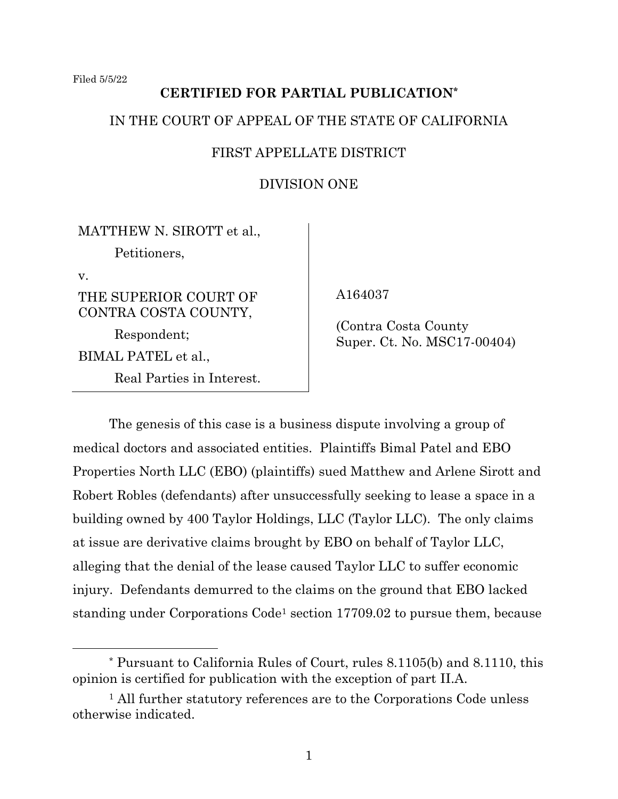# **CERTIFIED FOR PARTIAL PUBLICATION\***

### IN THE COURT OF APPEAL OF THE STATE OF CALIFORNIA

### FIRST APPELLATE DISTRICT

## DIVISION ONE

MATTHEW N. SIROTT et al., Petitioners, v. THE SUPERIOR COURT OF CONTRA COSTA COUNTY, Respondent; BIMAL PATEL et al., Real Parties in Interest.

A164037

 (Contra Costa County Super. Ct. No. MSC17-00404)

The genesis of this case is a business dispute involving a group of medical doctors and associated entities. Plaintiffs Bimal Patel and EBO Properties North LLC (EBO) (plaintiffs) sued Matthew and Arlene Sirott and Robert Robles (defendants) after unsuccessfully seeking to lease a space in a building owned by 400 Taylor Holdings, LLC (Taylor LLC). The only claims at issue are derivative claims brought by EBO on behalf of Taylor LLC, alleging that the denial of the lease caused Taylor LLC to suffer economic injury. Defendants demurred to the claims on the ground that EBO lacked standing under Corporations Code<sup>1</sup> section 17709.02 to pursue them, because

<sup>\*</sup> Pursuant to California Rules of Court, rules 8.1105(b) and 8.1110, this opinion is certified for publication with the exception of part II.A.

<sup>&</sup>lt;sup>1</sup> All further statutory references are to the Corporations Code unless otherwise indicated.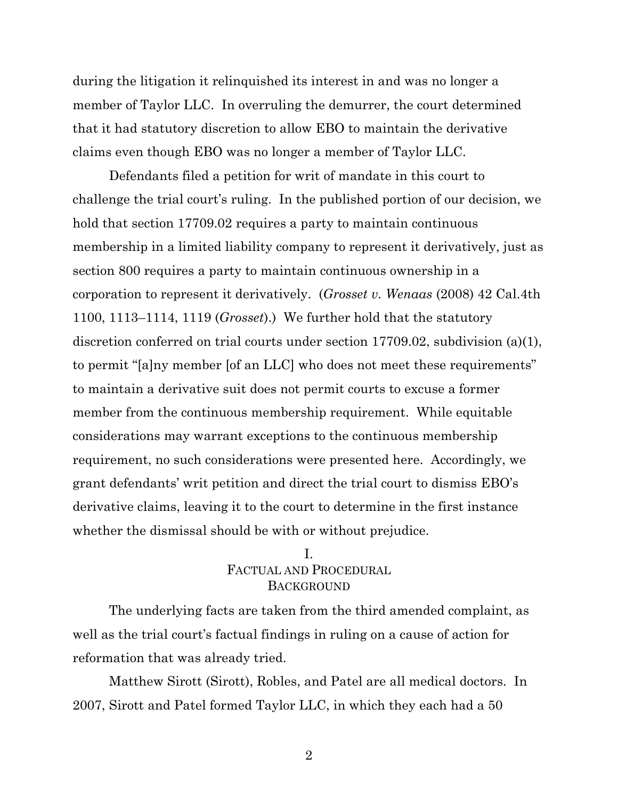during the litigation it relinquished its interest in and was no longer a member of Taylor LLC. In overruling the demurrer, the court determined that it had statutory discretion to allow EBO to maintain the derivative claims even though EBO was no longer a member of Taylor LLC.

Defendants filed a petition for writ of mandate in this court to challenge the trial court's ruling. In the published portion of our decision, we hold that section 17709.02 requires a party to maintain continuous membership in a limited liability company to represent it derivatively, just as section 800 requires a party to maintain continuous ownership in a corporation to represent it derivatively. (*Grosset v. Wenaas* (2008) 42 Cal.4th 1100, 1113–1114, 1119 (*Grosset*).) We further hold that the statutory discretion conferred on trial courts under section 17709.02, subdivision (a)(1), to permit "[a]ny member [of an LLC] who does not meet these requirements" to maintain a derivative suit does not permit courts to excuse a former member from the continuous membership requirement. While equitable considerations may warrant exceptions to the continuous membership requirement, no such considerations were presented here. Accordingly, we grant defendants' writ petition and direct the trial court to dismiss EBO's derivative claims, leaving it to the court to determine in the first instance whether the dismissal should be with or without prejudice.

## I. FACTUAL AND PROCEDURAL **BACKGROUND**

The underlying facts are taken from the third amended complaint, as well as the trial court's factual findings in ruling on a cause of action for reformation that was already tried.

Matthew Sirott (Sirott), Robles, and Patel are all medical doctors. In 2007, Sirott and Patel formed Taylor LLC, in which they each had a 50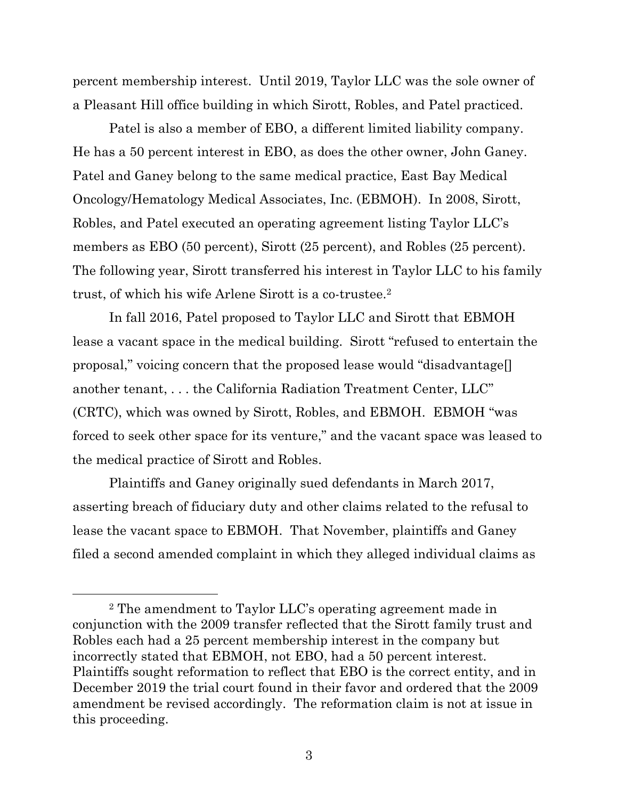percent membership interest. Until 2019, Taylor LLC was the sole owner of a Pleasant Hill office building in which Sirott, Robles, and Patel practiced.

Patel is also a member of EBO, a different limited liability company. He has a 50 percent interest in EBO, as does the other owner, John Ganey. Patel and Ganey belong to the same medical practice, East Bay Medical Oncology/Hematology Medical Associates, Inc. (EBMOH). In 2008, Sirott, Robles, and Patel executed an operating agreement listing Taylor LLC's members as EBO (50 percent), Sirott (25 percent), and Robles (25 percent). The following year, Sirott transferred his interest in Taylor LLC to his family trust, of which his wife Arlene Sirott is a co-trustee.<sup>2</sup>

In fall 2016, Patel proposed to Taylor LLC and Sirott that EBMOH lease a vacant space in the medical building. Sirott "refused to entertain the proposal," voicing concern that the proposed lease would "disadvantage[] another tenant, . . . the California Radiation Treatment Center, LLC" (CRTC), which was owned by Sirott, Robles, and EBMOH. EBMOH "was forced to seek other space for its venture," and the vacant space was leased to the medical practice of Sirott and Robles.

Plaintiffs and Ganey originally sued defendants in March 2017, asserting breach of fiduciary duty and other claims related to the refusal to lease the vacant space to EBMOH. That November, plaintiffs and Ganey filed a second amended complaint in which they alleged individual claims as

<sup>2</sup> The amendment to Taylor LLC's operating agreement made in conjunction with the 2009 transfer reflected that the Sirott family trust and Robles each had a 25 percent membership interest in the company but incorrectly stated that EBMOH, not EBO, had a 50 percent interest. Plaintiffs sought reformation to reflect that EBO is the correct entity, and in December 2019 the trial court found in their favor and ordered that the 2009 amendment be revised accordingly. The reformation claim is not at issue in this proceeding.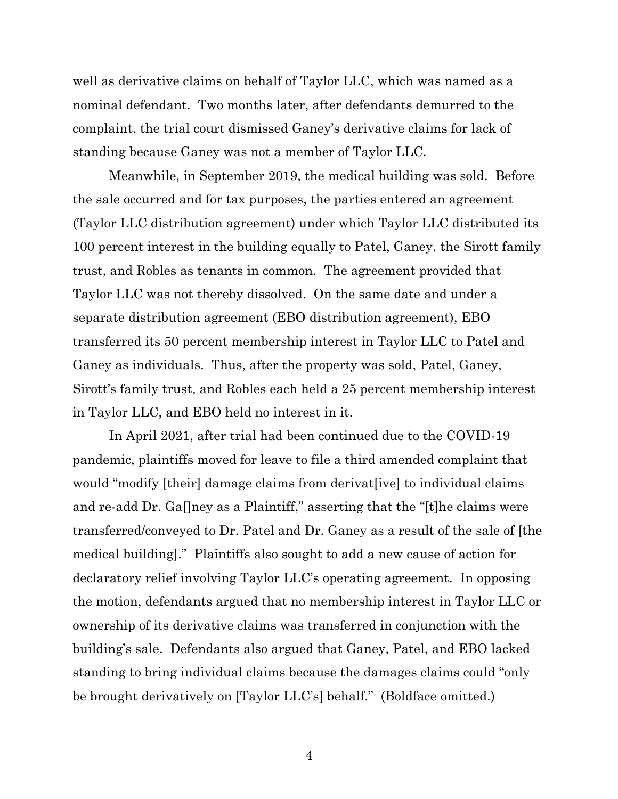well as derivative claims on behalf of Taylor LLC, which was named as a nominal defendant. Two months later, after defendants demurred to the complaint, the trial court dismissed Ganey's derivative claims for lack of standing because Ganey was not a member of Taylor LLC.

Meanwhile, in September 2019, the medical building was sold. Before the sale occurred and for tax purposes, the parties entered an agreement (Taylor LLC distribution agreement) under which Taylor LLC distributed its 100 percent interest in the building equally to Patel, Ganey, the Sirott family trust, and Robles as tenants in common. The agreement provided that Taylor LLC was not thereby dissolved. On the same date and under a separate distribution agreement (EBO distribution agreement), EBO transferred its 50 percent membership interest in Taylor LLC to Patel and Ganey as individuals. Thus, after the property was sold, Patel, Ganey, Sirott's family trust, and Robles each held a 25 percent membership interest in Taylor LLC, and EBO held no interest in it.

In April 2021, after trial had been continued due to the COVID-19 pandemic, plaintiffs moved for leave to file a third amended complaint that would "modify [their] damage claims from derivat[ive] to individual claims and re-add Dr. Ga[]ney as a Plaintiff," asserting that the "[t]he claims were transferred/conveyed to Dr. Patel and Dr. Ganey as a result of the sale of [the medical building]." Plaintiffs also sought to add a new cause of action for declaratory relief involving Taylor LLC's operating agreement. In opposing the motion, defendants argued that no membership interest in Taylor LLC or ownership of its derivative claims was transferred in conjunction with the building's sale. Defendants also argued that Ganey, Patel, and EBO lacked standing to bring individual claims because the damages claims could "only be brought derivatively on [Taylor LLC's] behalf." (Boldface omitted.)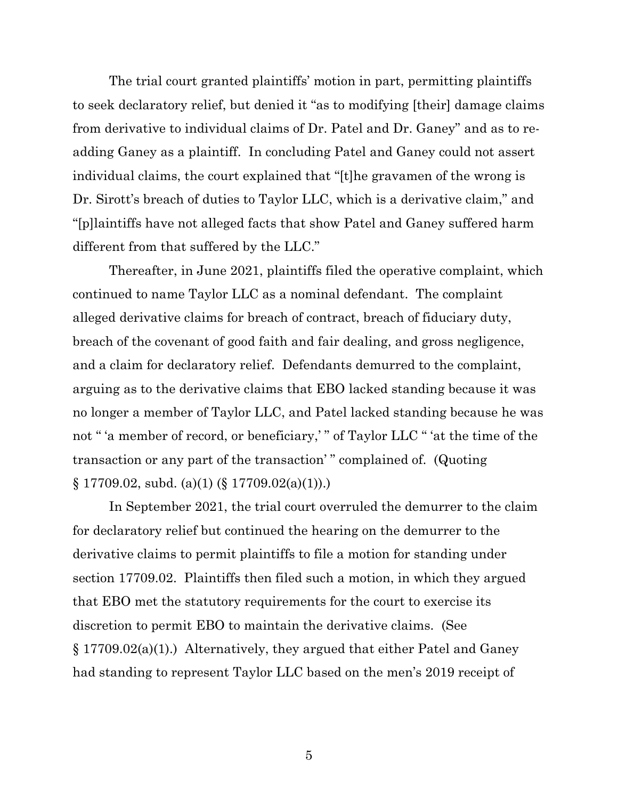The trial court granted plaintiffs' motion in part, permitting plaintiffs to seek declaratory relief, but denied it "as to modifying [their] damage claims from derivative to individual claims of Dr. Patel and Dr. Ganey" and as to readding Ganey as a plaintiff. In concluding Patel and Ganey could not assert individual claims, the court explained that "[t]he gravamen of the wrong is Dr. Sirott's breach of duties to Taylor LLC, which is a derivative claim," and "[p]laintiffs have not alleged facts that show Patel and Ganey suffered harm different from that suffered by the LLC."

Thereafter, in June 2021, plaintiffs filed the operative complaint, which continued to name Taylor LLC as a nominal defendant. The complaint alleged derivative claims for breach of contract, breach of fiduciary duty, breach of the covenant of good faith and fair dealing, and gross negligence, and a claim for declaratory relief. Defendants demurred to the complaint, arguing as to the derivative claims that EBO lacked standing because it was no longer a member of Taylor LLC, and Patel lacked standing because he was not " 'a member of record, or beneficiary,' " of Taylor LLC " 'at the time of the transaction or any part of the transaction' " complained of. (Quoting  $\S 17709.02$ , subd. (a)(1) ( $\S 17709.02(a)(1)$ .)

In September 2021, the trial court overruled the demurrer to the claim for declaratory relief but continued the hearing on the demurrer to the derivative claims to permit plaintiffs to file a motion for standing under section 17709.02. Plaintiffs then filed such a motion, in which they argued that EBO met the statutory requirements for the court to exercise its discretion to permit EBO to maintain the derivative claims. (See § 17709.02(a)(1).) Alternatively, they argued that either Patel and Ganey had standing to represent Taylor LLC based on the men's 2019 receipt of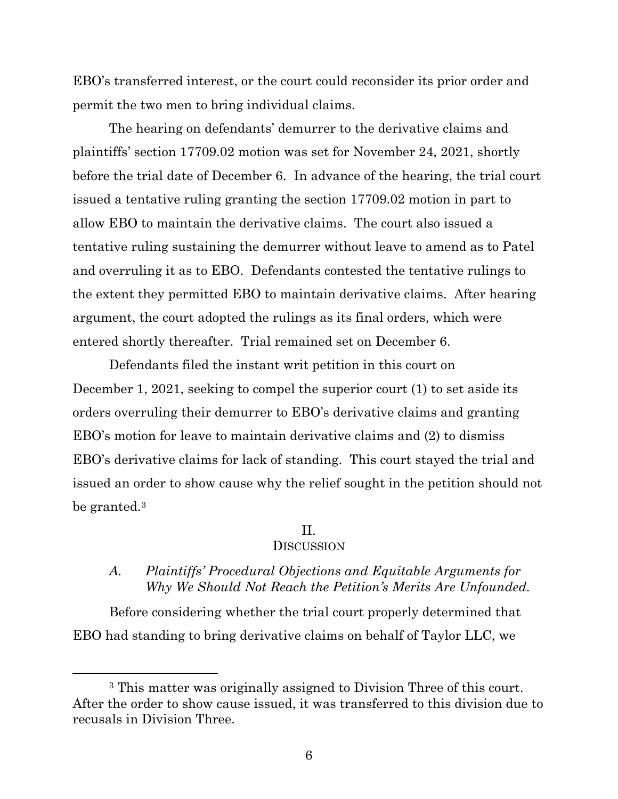EBO's transferred interest, or the court could reconsider its prior order and permit the two men to bring individual claims.

The hearing on defendants' demurrer to the derivative claims and plaintiffs' section 17709.02 motion was set for November 24, 2021, shortly before the trial date of December 6. In advance of the hearing, the trial court issued a tentative ruling granting the section 17709.02 motion in part to allow EBO to maintain the derivative claims. The court also issued a tentative ruling sustaining the demurrer without leave to amend as to Patel and overruling it as to EBO. Defendants contested the tentative rulings to the extent they permitted EBO to maintain derivative claims. After hearing argument, the court adopted the rulings as its final orders, which were entered shortly thereafter. Trial remained set on December 6.

Defendants filed the instant writ petition in this court on December 1, 2021, seeking to compel the superior court (1) to set aside its orders overruling their demurrer to EBO's derivative claims and granting EBO's motion for leave to maintain derivative claims and (2) to dismiss EBO's derivative claims for lack of standing. This court stayed the trial and issued an order to show cause why the relief sought in the petition should not be granted.<sup>3</sup>

#### II.

#### **DISCUSSION**

## *A. Plaintiffs' Procedural Objections and Equitable Arguments for Why We Should Not Reach the Petition's Merits Are Unfounded.*

Before considering whether the trial court properly determined that EBO had standing to bring derivative claims on behalf of Taylor LLC, we

<sup>3</sup> This matter was originally assigned to Division Three of this court. After the order to show cause issued, it was transferred to this division due to recusals in Division Three.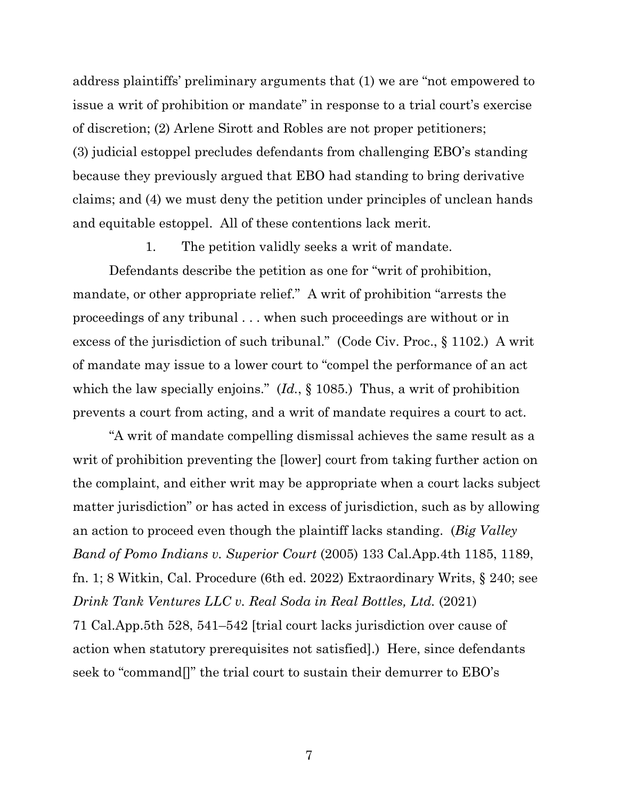address plaintiffs' preliminary arguments that (1) we are "not empowered to issue a writ of prohibition or mandate" in response to a trial court's exercise of discretion; (2) Arlene Sirott and Robles are not proper petitioners; (3) judicial estoppel precludes defendants from challenging EBO's standing because they previously argued that EBO had standing to bring derivative claims; and (4) we must deny the petition under principles of unclean hands and equitable estoppel. All of these contentions lack merit.

1. The petition validly seeks a writ of mandate.

Defendants describe the petition as one for "writ of prohibition, mandate, or other appropriate relief." A writ of prohibition "arrests the proceedings of any tribunal . . . when such proceedings are without or in excess of the jurisdiction of such tribunal." (Code Civ. Proc., § 1102.) A writ of mandate may issue to a lower court to "compel the performance of an act which the law specially enjoins." (*Id.*, § 1085.) Thus, a writ of prohibition prevents a court from acting, and a writ of mandate requires a court to act.

"A writ of mandate compelling dismissal achieves the same result as a writ of prohibition preventing the [lower] court from taking further action on the complaint, and either writ may be appropriate when a court lacks subject matter jurisdiction" or has acted in excess of jurisdiction, such as by allowing an action to proceed even though the plaintiff lacks standing. (*Big Valley Band of Pomo Indians v. Superior Court* (2005) 133 Cal.App.4th 1185, 1189, fn. 1; 8 Witkin, Cal. Procedure (6th ed. 2022) Extraordinary Writs, § 240; see *Drink Tank Ventures LLC v. Real Soda in Real Bottles, Ltd.* (2021) 71 Cal.App.5th 528, 541–542 [trial court lacks jurisdiction over cause of action when statutory prerequisites not satisfied].) Here, since defendants seek to "command[]" the trial court to sustain their demurrer to EBO's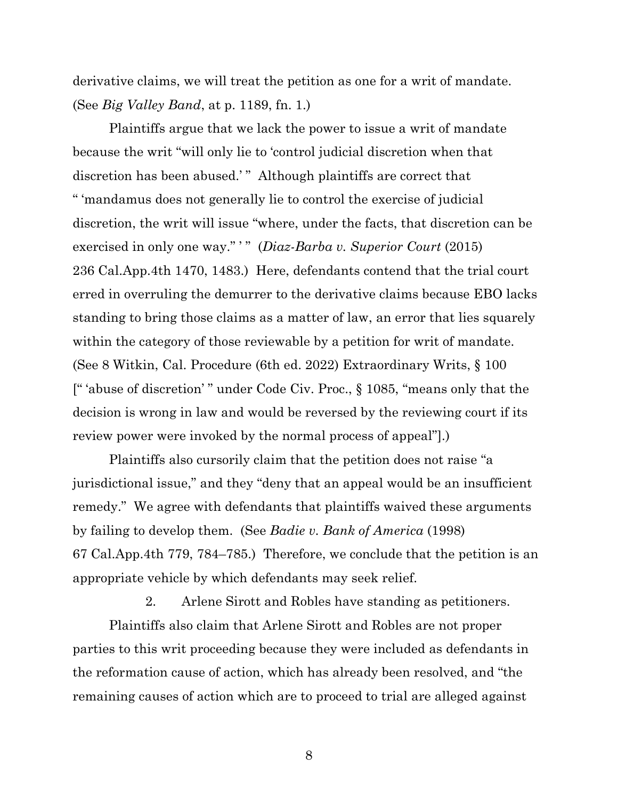derivative claims, we will treat the petition as one for a writ of mandate. (See *Big Valley Band*, at p. 1189, fn. 1.)

Plaintiffs argue that we lack the power to issue a writ of mandate because the writ "will only lie to 'control judicial discretion when that discretion has been abused.'" Although plaintiffs are correct that " 'mandamus does not generally lie to control the exercise of judicial discretion, the writ will issue "where, under the facts, that discretion can be exercised in only one way." " (*Diaz-Barba v. Superior Court* (2015) 236 Cal.App.4th 1470, 1483.) Here, defendants contend that the trial court erred in overruling the demurrer to the derivative claims because EBO lacks standing to bring those claims as a matter of law, an error that lies squarely within the category of those reviewable by a petition for writ of mandate. (See 8 Witkin, Cal. Procedure (6th ed. 2022) Extraordinary Writs, § 100 [" 'abuse of discretion' " under Code Civ. Proc., § 1085, "means only that the decision is wrong in law and would be reversed by the reviewing court if its review power were invoked by the normal process of appeal"].)

Plaintiffs also cursorily claim that the petition does not raise "a jurisdictional issue," and they "deny that an appeal would be an insufficient remedy." We agree with defendants that plaintiffs waived these arguments by failing to develop them. (See *Badie v. Bank of America* (1998) 67 Cal.App.4th 779, 784–785.) Therefore, we conclude that the petition is an appropriate vehicle by which defendants may seek relief.

2. Arlene Sirott and Robles have standing as petitioners. Plaintiffs also claim that Arlene Sirott and Robles are not proper parties to this writ proceeding because they were included as defendants in the reformation cause of action, which has already been resolved, and "the remaining causes of action which are to proceed to trial are alleged against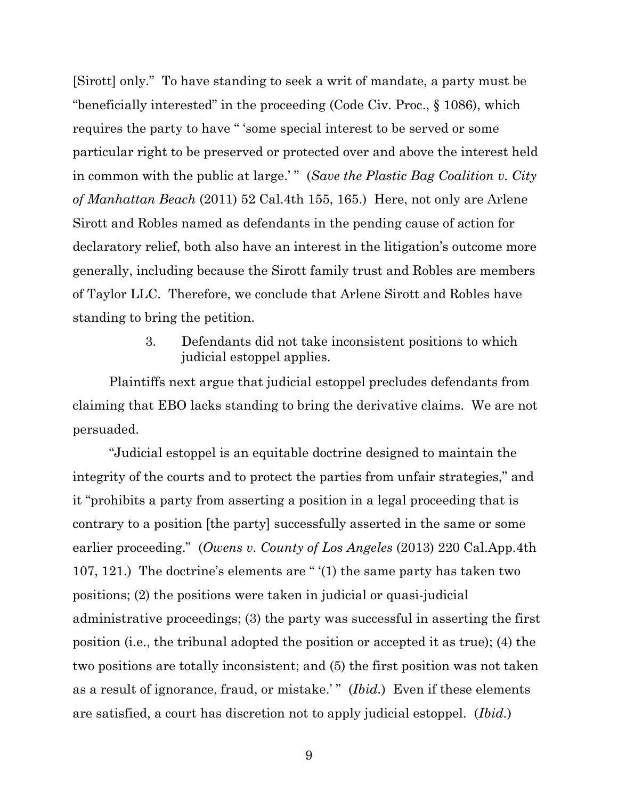[Sirott] only." To have standing to seek a writ of mandate, a party must be "beneficially interested" in the proceeding (Code Civ. Proc., § 1086), which requires the party to have " 'some special interest to be served or some particular right to be preserved or protected over and above the interest held in common with the public at large.'" (*Save the Plastic Bag Coalition v. City of Manhattan Beach* (2011) 52 Cal.4th 155, 165.) Here, not only are Arlene Sirott and Robles named as defendants in the pending cause of action for declaratory relief, both also have an interest in the litigation's outcome more generally, including because the Sirott family trust and Robles are members of Taylor LLC. Therefore, we conclude that Arlene Sirott and Robles have standing to bring the petition.

> 3. Defendants did not take inconsistent positions to which judicial estoppel applies.

Plaintiffs next argue that judicial estoppel precludes defendants from claiming that EBO lacks standing to bring the derivative claims. We are not persuaded.

"Judicial estoppel is an equitable doctrine designed to maintain the integrity of the courts and to protect the parties from unfair strategies," and it "prohibits a party from asserting a position in a legal proceeding that is contrary to a position [the party] successfully asserted in the same or some earlier proceeding." (*Owens v. County of Los Angeles* (2013) 220 Cal.App.4th 107, 121.) The doctrine's elements are " '(1) the same party has taken two positions; (2) the positions were taken in judicial or quasi-judicial administrative proceedings; (3) the party was successful in asserting the first position (i.e., the tribunal adopted the position or accepted it as true); (4) the two positions are totally inconsistent; and (5) the first position was not taken as a result of ignorance, fraud, or mistake.'" (*Ibid.*) Even if these elements are satisfied, a court has discretion not to apply judicial estoppel. (*Ibid.*)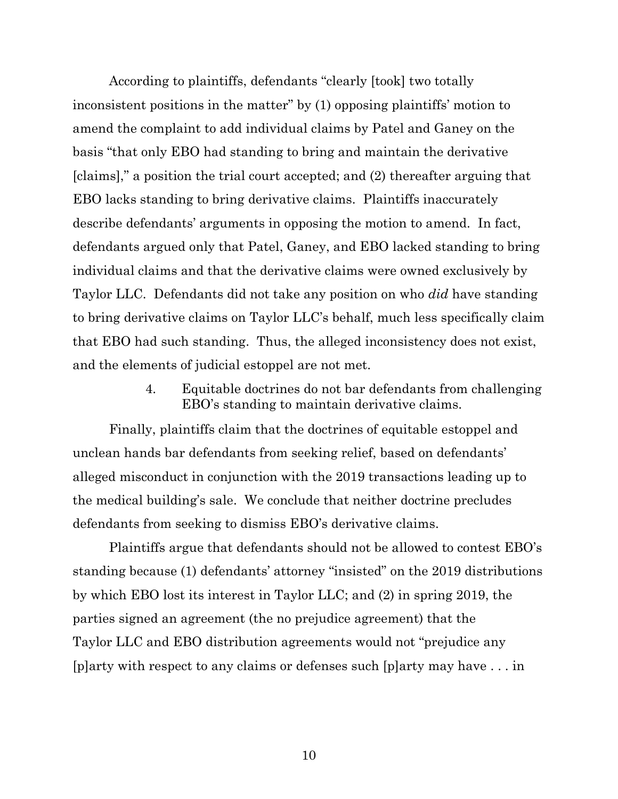According to plaintiffs, defendants "clearly [took] two totally inconsistent positions in the matter" by (1) opposing plaintiffs' motion to amend the complaint to add individual claims by Patel and Ganey on the basis "that only EBO had standing to bring and maintain the derivative [claims]," a position the trial court accepted; and (2) thereafter arguing that EBO lacks standing to bring derivative claims. Plaintiffs inaccurately describe defendants' arguments in opposing the motion to amend. In fact, defendants argued only that Patel, Ganey, and EBO lacked standing to bring individual claims and that the derivative claims were owned exclusively by Taylor LLC. Defendants did not take any position on who *did* have standing to bring derivative claims on Taylor LLC's behalf, much less specifically claim that EBO had such standing. Thus, the alleged inconsistency does not exist, and the elements of judicial estoppel are not met.

> 4. Equitable doctrines do not bar defendants from challenging EBO's standing to maintain derivative claims.

Finally, plaintiffs claim that the doctrines of equitable estoppel and unclean hands bar defendants from seeking relief, based on defendants' alleged misconduct in conjunction with the 2019 transactions leading up to the medical building's sale. We conclude that neither doctrine precludes defendants from seeking to dismiss EBO's derivative claims.

Plaintiffs argue that defendants should not be allowed to contest EBO's standing because (1) defendants' attorney "insisted" on the 2019 distributions by which EBO lost its interest in Taylor LLC; and (2) in spring 2019, the parties signed an agreement (the no prejudice agreement) that the Taylor LLC and EBO distribution agreements would not "prejudice any [p]arty with respect to any claims or defenses such [p]arty may have . . . in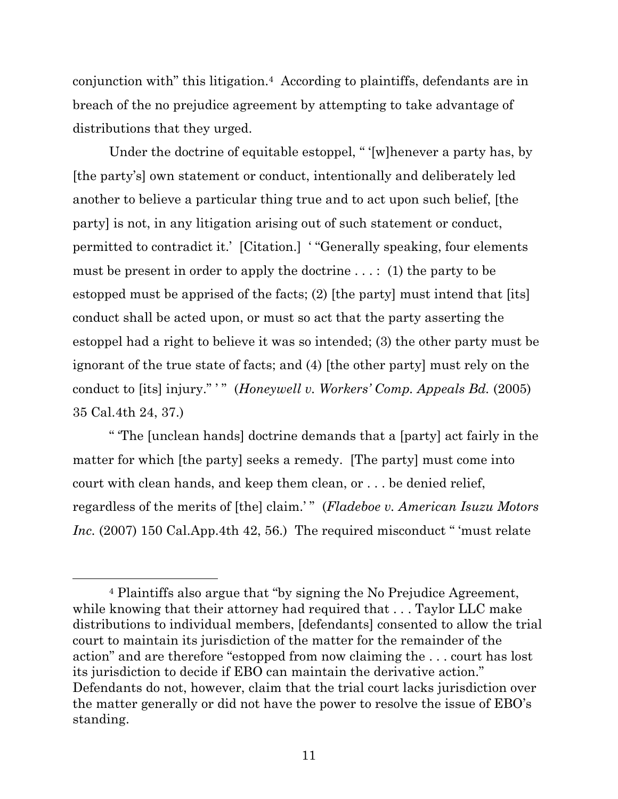conjunction with" this litigation.4 According to plaintiffs, defendants are in breach of the no prejudice agreement by attempting to take advantage of distributions that they urged.

Under the doctrine of equitable estoppel, " '[w]henever a party has, by [the party's] own statement or conduct, intentionally and deliberately led another to believe a particular thing true and to act upon such belief, [the party] is not, in any litigation arising out of such statement or conduct, permitted to contradict it.' [Citation.] ' "Generally speaking, four elements must be present in order to apply the doctrine  $\dots$ : (1) the party to be estopped must be apprised of the facts; (2) [the party] must intend that [its] conduct shall be acted upon, or must so act that the party asserting the estoppel had a right to believe it was so intended; (3) the other party must be ignorant of the true state of facts; and (4) [the other party] must rely on the conduct to [its] injury."" " (*Honeywell v. Workers' Comp. Appeals Bd.* (2005) 35 Cal.4th 24, 37.)

" 'The [unclean hands] doctrine demands that a [party] act fairly in the matter for which [the party] seeks a remedy. [The party] must come into court with clean hands, and keep them clean, or . . . be denied relief, regardless of the merits of [the] claim.' " (*Fladeboe v. American Isuzu Motors Inc.* (2007) 150 Cal.App.4th 42, 56.) The required misconduct " 'must relate

<sup>4</sup> Plaintiffs also argue that "by signing the No Prejudice Agreement, while knowing that their attorney had required that ... Taylor LLC make distributions to individual members, [defendants] consented to allow the trial court to maintain its jurisdiction of the matter for the remainder of the action" and are therefore "estopped from now claiming the . . . court has lost its jurisdiction to decide if EBO can maintain the derivative action." Defendants do not, however, claim that the trial court lacks jurisdiction over the matter generally or did not have the power to resolve the issue of EBO's standing.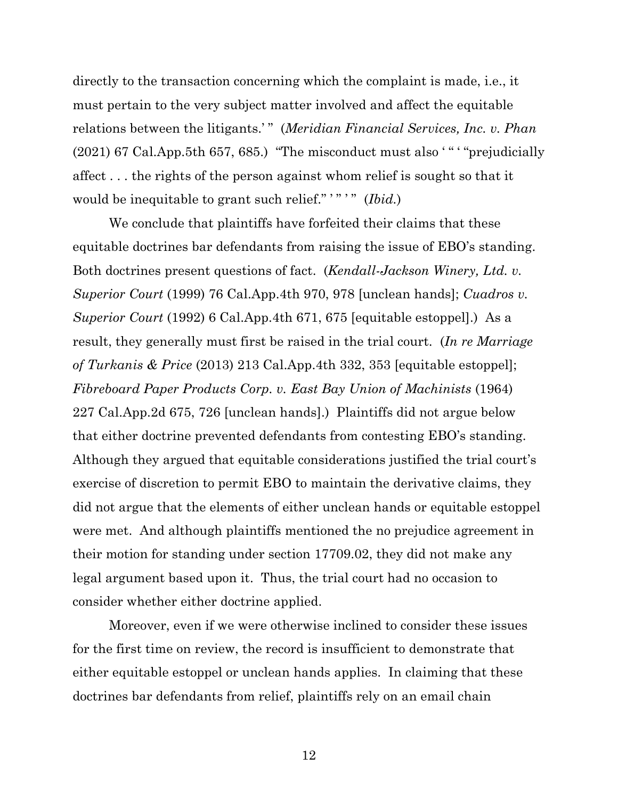directly to the transaction concerning which the complaint is made, i.e., it must pertain to the very subject matter involved and affect the equitable relations between the litigants.'" (*Meridian Financial Services, Inc. v. Phan* (2021) 67 Cal.App.5th 657, 685.) "The misconduct must also ' " ' "prejudicially affect . . . the rights of the person against whom relief is sought so that it would be inequitable to grant such relief."'"'" (*Ibid.*)

We conclude that plaintiffs have forfeited their claims that these equitable doctrines bar defendants from raising the issue of EBO's standing. Both doctrines present questions of fact. (*Kendall-Jackson Winery, Ltd. v. Superior Court* (1999) 76 Cal.App.4th 970, 978 [unclean hands]; *Cuadros v. Superior Court* (1992) 6 Cal.App.4th 671, 675 [equitable estoppel].) As a result, they generally must first be raised in the trial court. (*In re Marriage of Turkanis & Price* (2013) 213 Cal.App.4th 332, 353 [equitable estoppel]; *Fibreboard Paper Products Corp. v. East Bay Union of Machinists* (1964) 227 Cal.App.2d 675, 726 [unclean hands].) Plaintiffs did not argue below that either doctrine prevented defendants from contesting EBO's standing. Although they argued that equitable considerations justified the trial court's exercise of discretion to permit EBO to maintain the derivative claims, they did not argue that the elements of either unclean hands or equitable estoppel were met. And although plaintiffs mentioned the no prejudice agreement in their motion for standing under section 17709.02, they did not make any legal argument based upon it. Thus, the trial court had no occasion to consider whether either doctrine applied.

Moreover, even if we were otherwise inclined to consider these issues for the first time on review, the record is insufficient to demonstrate that either equitable estoppel or unclean hands applies. In claiming that these doctrines bar defendants from relief, plaintiffs rely on an email chain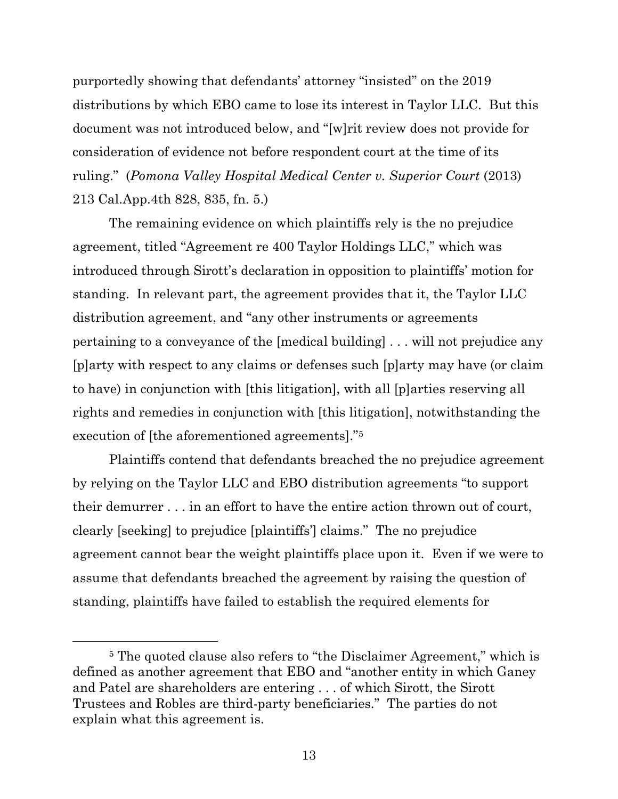purportedly showing that defendants' attorney "insisted" on the 2019 distributions by which EBO came to lose its interest in Taylor LLC. But this document was not introduced below, and "[w]rit review does not provide for consideration of evidence not before respondent court at the time of its ruling." (*Pomona Valley Hospital Medical Center v. Superior Court* (2013) 213 Cal.App.4th 828, 835, fn. 5.)

The remaining evidence on which plaintiffs rely is the no prejudice agreement, titled "Agreement re 400 Taylor Holdings LLC," which was introduced through Sirott's declaration in opposition to plaintiffs' motion for standing. In relevant part, the agreement provides that it, the Taylor LLC distribution agreement, and "any other instruments or agreements pertaining to a conveyance of the [medical building] . . . will not prejudice any [p]arty with respect to any claims or defenses such [p]arty may have (or claim to have) in conjunction with [this litigation], with all [p]arties reserving all rights and remedies in conjunction with [this litigation], notwithstanding the execution of [the aforementioned agreements]."<sup>5</sup>

Plaintiffs contend that defendants breached the no prejudice agreement by relying on the Taylor LLC and EBO distribution agreements "to support their demurrer . . . in an effort to have the entire action thrown out of court, clearly [seeking] to prejudice [plaintiffs'] claims." The no prejudice agreement cannot bear the weight plaintiffs place upon it. Even if we were to assume that defendants breached the agreement by raising the question of standing, plaintiffs have failed to establish the required elements for

<sup>5</sup> The quoted clause also refers to "the Disclaimer Agreement," which is defined as another agreement that EBO and "another entity in which Ganey and Patel are shareholders are entering . . . of which Sirott, the Sirott Trustees and Robles are third-party beneficiaries." The parties do not explain what this agreement is.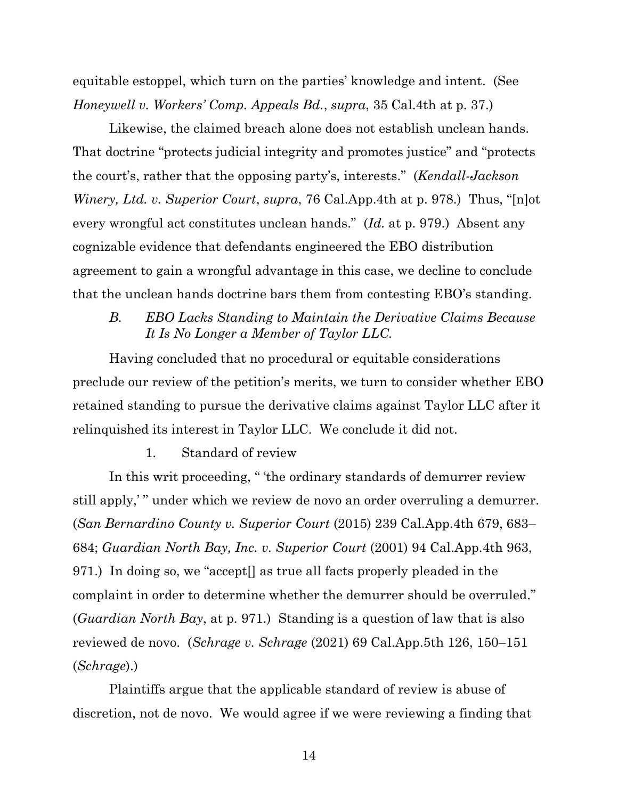equitable estoppel, which turn on the parties' knowledge and intent. (See *Honeywell v. Workers' Comp. Appeals Bd.*, *supra*, 35 Cal.4th at p. 37.)

Likewise, the claimed breach alone does not establish unclean hands. That doctrine "protects judicial integrity and promotes justice" and "protects the court's, rather that the opposing party's, interests." (*Kendall-Jackson Winery, Ltd. v. Superior Court*, *supra*, 76 Cal.App.4th at p. 978.) Thus, "[n]ot every wrongful act constitutes unclean hands." (*Id.* at p. 979.) Absent any cognizable evidence that defendants engineered the EBO distribution agreement to gain a wrongful advantage in this case, we decline to conclude that the unclean hands doctrine bars them from contesting EBO's standing.

# *B. EBO Lacks Standing to Maintain the Derivative Claims Because It Is No Longer a Member of Taylor LLC.*

Having concluded that no procedural or equitable considerations preclude our review of the petition's merits, we turn to consider whether EBO retained standing to pursue the derivative claims against Taylor LLC after it relinquished its interest in Taylor LLC. We conclude it did not.

1. Standard of review

In this writ proceeding, " 'the ordinary standards of demurrer review still apply,'" under which we review de novo an order overruling a demurrer. (*San Bernardino County v. Superior Court* (2015) 239 Cal.App.4th 679, 683– 684; *Guardian North Bay, Inc. v. Superior Court* (2001) 94 Cal.App.4th 963, 971.) In doing so, we "accept[] as true all facts properly pleaded in the complaint in order to determine whether the demurrer should be overruled." (*Guardian North Bay*, at p. 971.) Standing is a question of law that is also reviewed de novo. (*Schrage v. Schrage* (2021) 69 Cal.App.5th 126, 150–151 (*Schrage*).)

Plaintiffs argue that the applicable standard of review is abuse of discretion, not de novo. We would agree if we were reviewing a finding that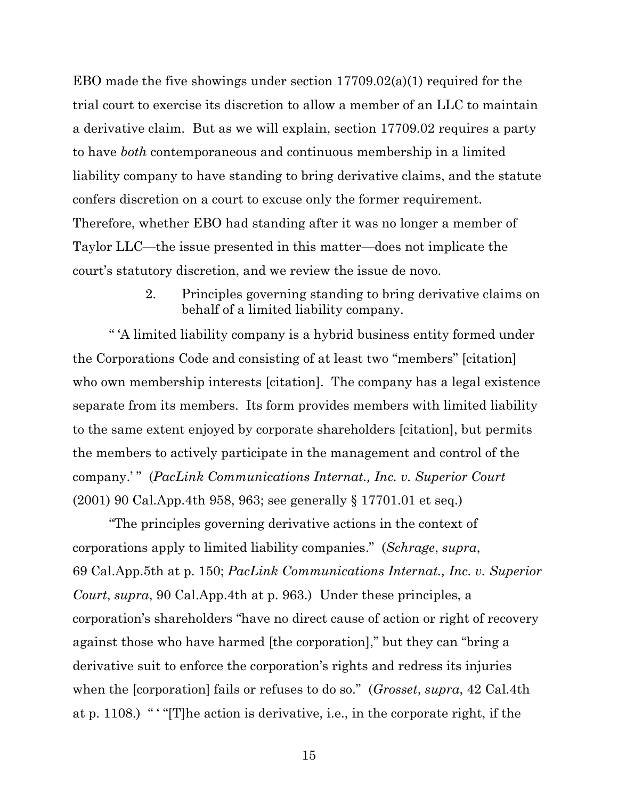EBO made the five showings under section 17709.02(a)(1) required for the trial court to exercise its discretion to allow a member of an LLC to maintain a derivative claim. But as we will explain, section 17709.02 requires a party to have *both* contemporaneous and continuous membership in a limited liability company to have standing to bring derivative claims, and the statute confers discretion on a court to excuse only the former requirement. Therefore, whether EBO had standing after it was no longer a member of Taylor LLC—the issue presented in this matter—does not implicate the court's statutory discretion, and we review the issue de novo.

> 2. Principles governing standing to bring derivative claims on behalf of a limited liability company.

" 'A limited liability company is a hybrid business entity formed under the Corporations Code and consisting of at least two "members" [citation] who own membership interests [citation]. The company has a legal existence separate from its members. Its form provides members with limited liability to the same extent enjoyed by corporate shareholders [citation], but permits the members to actively participate in the management and control of the company.' " (*PacLink Communications Internat., Inc. v. Superior Court* (2001) 90 Cal.App.4th 958, 963; see generally § 17701.01 et seq.)

"The principles governing derivative actions in the context of corporations apply to limited liability companies." (*Schrage*, *supra*, 69 Cal.App.5th at p. 150; *PacLink Communications Internat., Inc. v. Superior Court*, *supra*, 90 Cal.App.4th at p. 963.) Under these principles, a corporation's shareholders "have no direct cause of action or right of recovery against those who have harmed [the corporation]," but they can "bring a derivative suit to enforce the corporation's rights and redress its injuries when the [corporation] fails or refuses to do so." (*Grosset*, *supra*, 42 Cal.4th at p. 1108.) " ' "[T]he action is derivative, i.e., in the corporate right, if the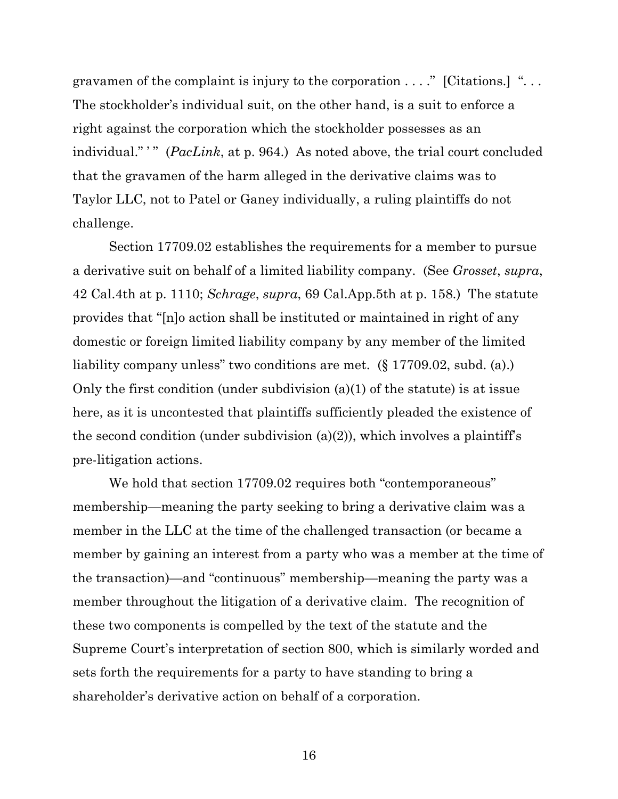gravamen of the complaint is injury to the corporation  $\dots$ ." [Citations.] "... The stockholder's individual suit, on the other hand, is a suit to enforce a right against the corporation which the stockholder possesses as an individual."" (*PacLink*, at p. 964.) As noted above, the trial court concluded that the gravamen of the harm alleged in the derivative claims was to Taylor LLC, not to Patel or Ganey individually, a ruling plaintiffs do not challenge.

Section 17709.02 establishes the requirements for a member to pursue a derivative suit on behalf of a limited liability company. (See *Grosset*, *supra*, 42 Cal.4th at p. 1110; *Schrage*, *supra*, 69 Cal.App.5th at p. 158.) The statute provides that "[n]o action shall be instituted or maintained in right of any domestic or foreign limited liability company by any member of the limited liability company unless" two conditions are met. (§ 17709.02, subd. (a).) Only the first condition (under subdivision (a)(1) of the statute) is at issue here, as it is uncontested that plaintiffs sufficiently pleaded the existence of the second condition (under subdivision  $(a)(2)$ ), which involves a plaintiff's pre-litigation actions.

We hold that section 17709.02 requires both "contemporaneous" membership—meaning the party seeking to bring a derivative claim was a member in the LLC at the time of the challenged transaction (or became a member by gaining an interest from a party who was a member at the time of the transaction)—and "continuous" membership—meaning the party was a member throughout the litigation of a derivative claim. The recognition of these two components is compelled by the text of the statute and the Supreme Court's interpretation of section 800, which is similarly worded and sets forth the requirements for a party to have standing to bring a shareholder's derivative action on behalf of a corporation.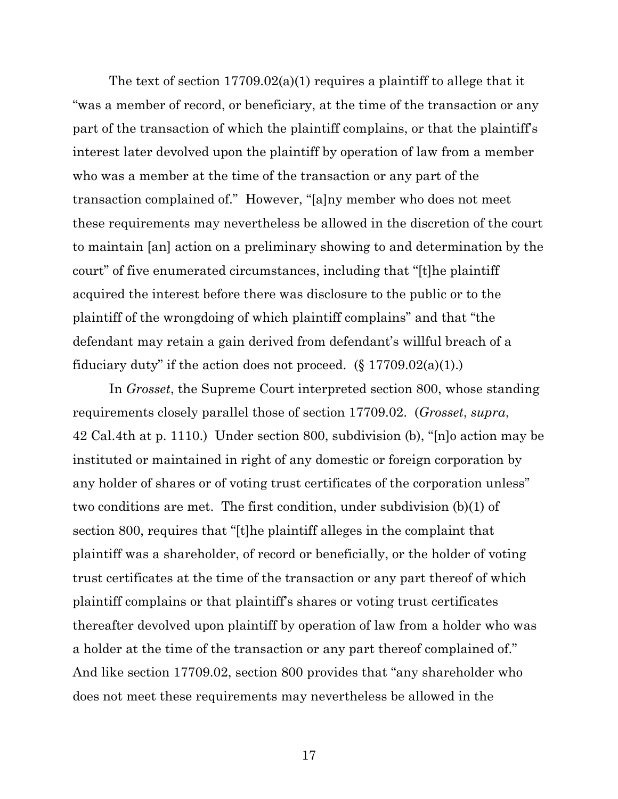The text of section 17709.02(a)(1) requires a plaintiff to allege that it "was a member of record, or beneficiary, at the time of the transaction or any part of the transaction of which the plaintiff complains, or that the plaintiff's interest later devolved upon the plaintiff by operation of law from a member who was a member at the time of the transaction or any part of the transaction complained of." However, "[a]ny member who does not meet these requirements may nevertheless be allowed in the discretion of the court to maintain [an] action on a preliminary showing to and determination by the court" of five enumerated circumstances, including that "[t]he plaintiff acquired the interest before there was disclosure to the public or to the plaintiff of the wrongdoing of which plaintiff complains" and that "the defendant may retain a gain derived from defendant's willful breach of a fiduciary duty" if the action does not proceed.  $(\S 17709.02(a)(1))$ .

In *Grosset*, the Supreme Court interpreted section 800, whose standing requirements closely parallel those of section 17709.02. (*Grosset*, *supra*, 42 Cal.4th at p. 1110.) Under section 800, subdivision (b), "[n]o action may be instituted or maintained in right of any domestic or foreign corporation by any holder of shares or of voting trust certificates of the corporation unless" two conditions are met. The first condition, under subdivision (b)(1) of section 800, requires that "[t]he plaintiff alleges in the complaint that plaintiff was a shareholder, of record or beneficially, or the holder of voting trust certificates at the time of the transaction or any part thereof of which plaintiff complains or that plaintiff's shares or voting trust certificates thereafter devolved upon plaintiff by operation of law from a holder who was a holder at the time of the transaction or any part thereof complained of." And like section 17709.02, section 800 provides that "any shareholder who does not meet these requirements may nevertheless be allowed in the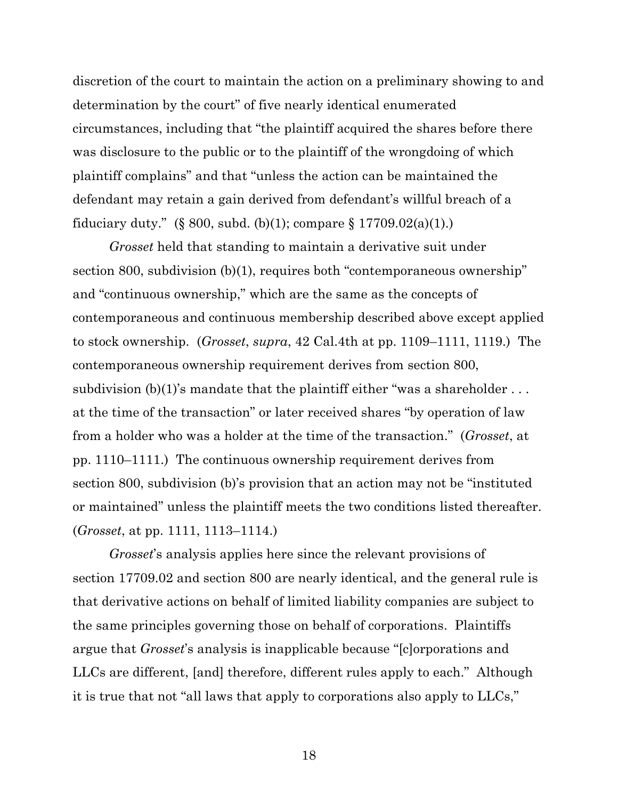discretion of the court to maintain the action on a preliminary showing to and determination by the court" of five nearly identical enumerated circumstances, including that "the plaintiff acquired the shares before there was disclosure to the public or to the plaintiff of the wrongdoing of which plaintiff complains" and that "unless the action can be maintained the defendant may retain a gain derived from defendant's willful breach of a fiduciary duty." (§ 800, subd. (b)(1); compare § 17709.02(a)(1).)

*Grosset* held that standing to maintain a derivative suit under section 800, subdivision (b)(1), requires both "contemporaneous ownership" and "continuous ownership," which are the same as the concepts of contemporaneous and continuous membership described above except applied to stock ownership. (*Grosset*, *supra*, 42 Cal.4th at pp. 1109–1111, 1119.) The contemporaneous ownership requirement derives from section 800, subdivision  $(b)(1)$ 's mandate that the plaintiff either "was a shareholder  $\dots$ at the time of the transaction" or later received shares "by operation of law from a holder who was a holder at the time of the transaction." (*Grosset*, at pp. 1110–1111.) The continuous ownership requirement derives from section 800, subdivision (b)'s provision that an action may not be "instituted or maintained" unless the plaintiff meets the two conditions listed thereafter. (*Grosset*, at pp. 1111, 1113–1114.)

*Grosset*'s analysis applies here since the relevant provisions of section 17709.02 and section 800 are nearly identical, and the general rule is that derivative actions on behalf of limited liability companies are subject to the same principles governing those on behalf of corporations. Plaintiffs argue that *Grosset*'s analysis is inapplicable because "[c]orporations and LLCs are different, [and] therefore, different rules apply to each." Although it is true that not "all laws that apply to corporations also apply to LLCs,"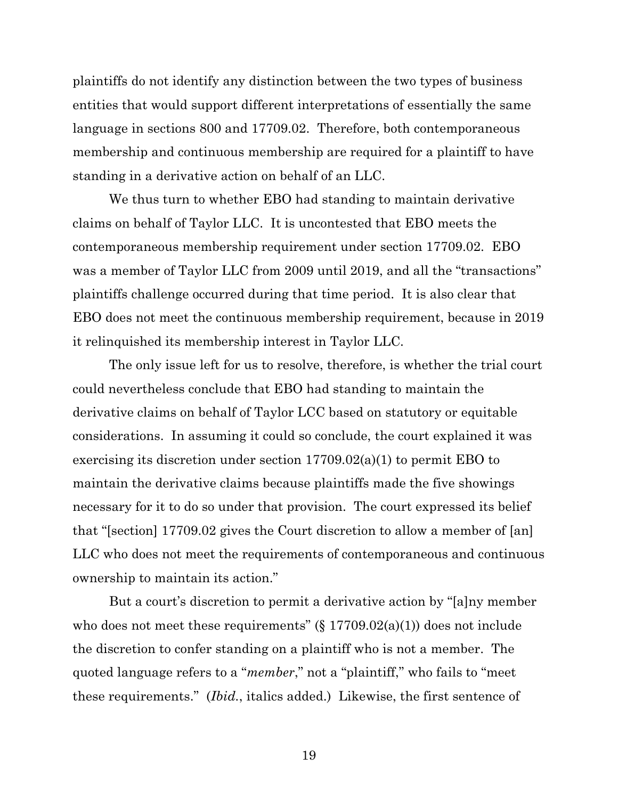plaintiffs do not identify any distinction between the two types of business entities that would support different interpretations of essentially the same language in sections 800 and 17709.02. Therefore, both contemporaneous membership and continuous membership are required for a plaintiff to have standing in a derivative action on behalf of an LLC.

We thus turn to whether EBO had standing to maintain derivative claims on behalf of Taylor LLC. It is uncontested that EBO meets the contemporaneous membership requirement under section 17709.02. EBO was a member of Taylor LLC from 2009 until 2019, and all the "transactions" plaintiffs challenge occurred during that time period. It is also clear that EBO does not meet the continuous membership requirement, because in 2019 it relinquished its membership interest in Taylor LLC.

The only issue left for us to resolve, therefore, is whether the trial court could nevertheless conclude that EBO had standing to maintain the derivative claims on behalf of Taylor LCC based on statutory or equitable considerations. In assuming it could so conclude, the court explained it was exercising its discretion under section 17709.02(a)(1) to permit EBO to maintain the derivative claims because plaintiffs made the five showings necessary for it to do so under that provision. The court expressed its belief that "[section] 17709.02 gives the Court discretion to allow a member of [an] LLC who does not meet the requirements of contemporaneous and continuous ownership to maintain its action."

But a court's discretion to permit a derivative action by "[a]ny member who does not meet these requirements" (§ 17709.02(a)(1)) does not include the discretion to confer standing on a plaintiff who is not a member. The quoted language refers to a "*member*," not a "plaintiff," who fails to "meet these requirements." (*Ibid.*, italics added.) Likewise, the first sentence of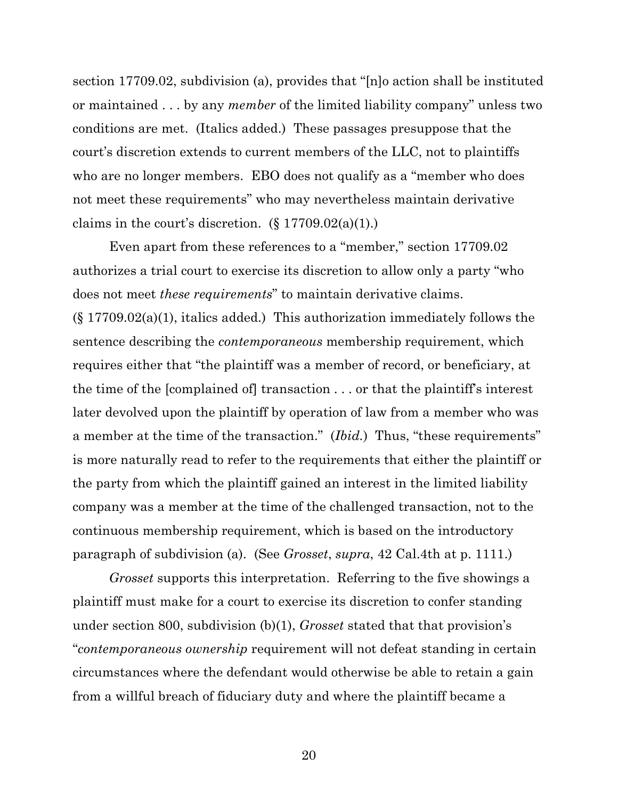section 17709.02, subdivision (a), provides that "[n]o action shall be instituted or maintained . . . by any *member* of the limited liability company" unless two conditions are met. (Italics added.) These passages presuppose that the court's discretion extends to current members of the LLC, not to plaintiffs who are no longer members. EBO does not qualify as a "member who does not meet these requirements" who may nevertheless maintain derivative claims in the court's discretion.  $(\S 17709.02(a)(1))$ .

Even apart from these references to a "member," section 17709.02 authorizes a trial court to exercise its discretion to allow only a party "who does not meet *these requirements*" to maintain derivative claims.  $(\S 17709.02(a)(1))$ , italics added.) This authorization immediately follows the sentence describing the *contemporaneous* membership requirement, which requires either that "the plaintiff was a member of record, or beneficiary, at the time of the [complained of] transaction . . . or that the plaintiff's interest later devolved upon the plaintiff by operation of law from a member who was a member at the time of the transaction." (*Ibid.*) Thus, "these requirements" is more naturally read to refer to the requirements that either the plaintiff or the party from which the plaintiff gained an interest in the limited liability company was a member at the time of the challenged transaction, not to the continuous membership requirement, which is based on the introductory paragraph of subdivision (a). (See *Grosset*, *supra*, 42 Cal.4th at p. 1111.)

*Grosset* supports this interpretation. Referring to the five showings a plaintiff must make for a court to exercise its discretion to confer standing under section 800, subdivision (b)(1), *Grosset* stated that that provision's "*contemporaneous ownership* requirement will not defeat standing in certain circumstances where the defendant would otherwise be able to retain a gain from a willful breach of fiduciary duty and where the plaintiff became a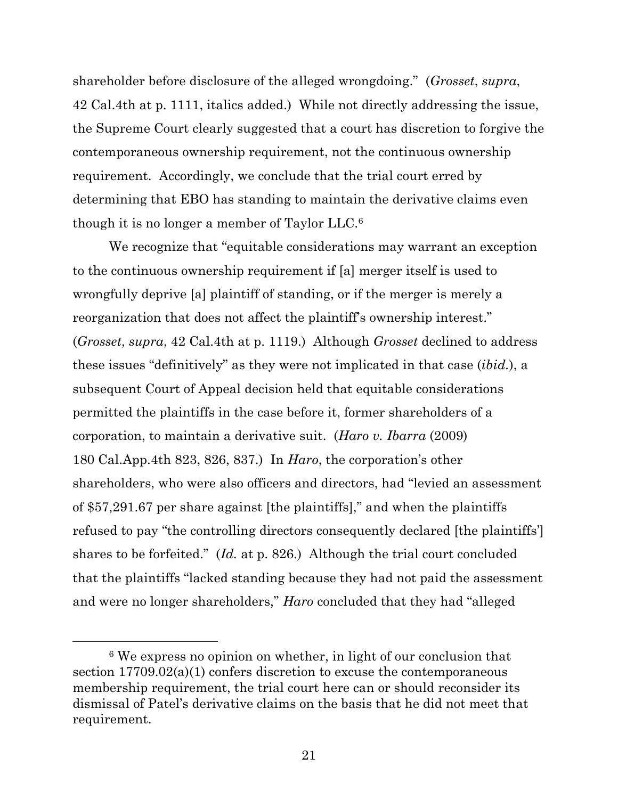shareholder before disclosure of the alleged wrongdoing." (*Grosset*, *supra*, 42 Cal.4th at p. 1111, italics added.) While not directly addressing the issue, the Supreme Court clearly suggested that a court has discretion to forgive the contemporaneous ownership requirement, not the continuous ownership requirement. Accordingly, we conclude that the trial court erred by determining that EBO has standing to maintain the derivative claims even though it is no longer a member of Taylor LLC.<sup>6</sup>

We recognize that "equitable considerations may warrant an exception to the continuous ownership requirement if [a] merger itself is used to wrongfully deprive [a] plaintiff of standing, or if the merger is merely a reorganization that does not affect the plaintiff's ownership interest." (*Grosset*, *supra*, 42 Cal.4th at p. 1119.) Although *Grosset* declined to address these issues "definitively" as they were not implicated in that case (*ibid.*), a subsequent Court of Appeal decision held that equitable considerations permitted the plaintiffs in the case before it, former shareholders of a corporation, to maintain a derivative suit. (*Haro v. Ibarra* (2009) 180 Cal.App.4th 823, 826, 837.) In *Haro*, the corporation's other shareholders, who were also officers and directors, had "levied an assessment of \$57,291.67 per share against [the plaintiffs]," and when the plaintiffs refused to pay "the controlling directors consequently declared [the plaintiffs'] shares to be forfeited." (*Id.* at p. 826.) Although the trial court concluded that the plaintiffs "lacked standing because they had not paid the assessment and were no longer shareholders," *Haro* concluded that they had "alleged

<sup>6</sup> We express no opinion on whether, in light of our conclusion that section 17709.02(a)(1) confers discretion to excuse the contemporaneous membership requirement, the trial court here can or should reconsider its dismissal of Patel's derivative claims on the basis that he did not meet that requirement.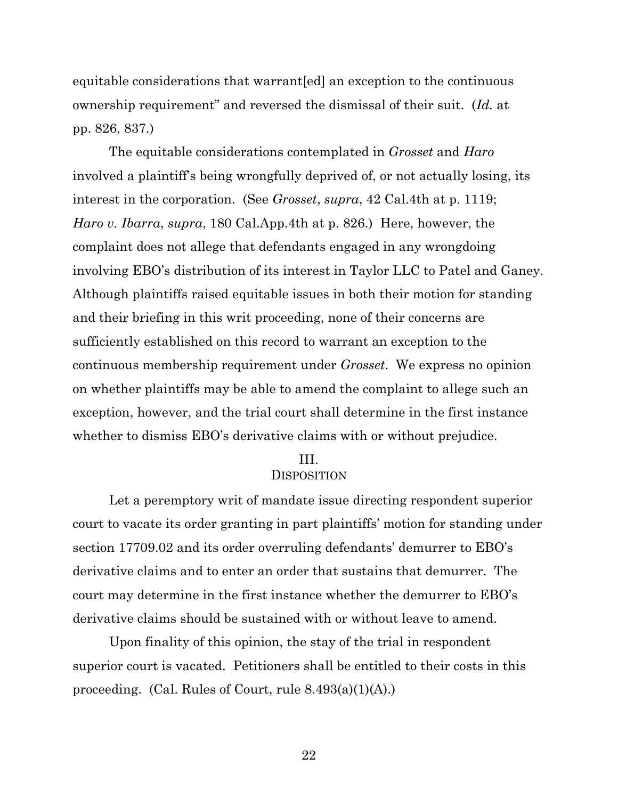equitable considerations that warrant[ed] an exception to the continuous ownership requirement" and reversed the dismissal of their suit. (*Id.* at pp. 826, 837.)

The equitable considerations contemplated in *Grosset* and *Haro* involved a plaintiff's being wrongfully deprived of, or not actually losing, its interest in the corporation. (See *Grosset*, *supra*, 42 Cal.4th at p. 1119; *Haro v. Ibarra*, *supra*, 180 Cal.App.4th at p. 826.) Here, however, the complaint does not allege that defendants engaged in any wrongdoing involving EBO's distribution of its interest in Taylor LLC to Patel and Ganey. Although plaintiffs raised equitable issues in both their motion for standing and their briefing in this writ proceeding, none of their concerns are sufficiently established on this record to warrant an exception to the continuous membership requirement under *Grosset*. We express no opinion on whether plaintiffs may be able to amend the complaint to allege such an exception, however, and the trial court shall determine in the first instance whether to dismiss EBO's derivative claims with or without prejudice.

### III.

#### **DISPOSITION**

Let a peremptory writ of mandate issue directing respondent superior court to vacate its order granting in part plaintiffs' motion for standing under section 17709.02 and its order overruling defendants' demurrer to EBO's derivative claims and to enter an order that sustains that demurrer. The court may determine in the first instance whether the demurrer to EBO's derivative claims should be sustained with or without leave to amend.

Upon finality of this opinion, the stay of the trial in respondent superior court is vacated. Petitioners shall be entitled to their costs in this proceeding. (Cal. Rules of Court, rule 8.493(a)(1)(A).)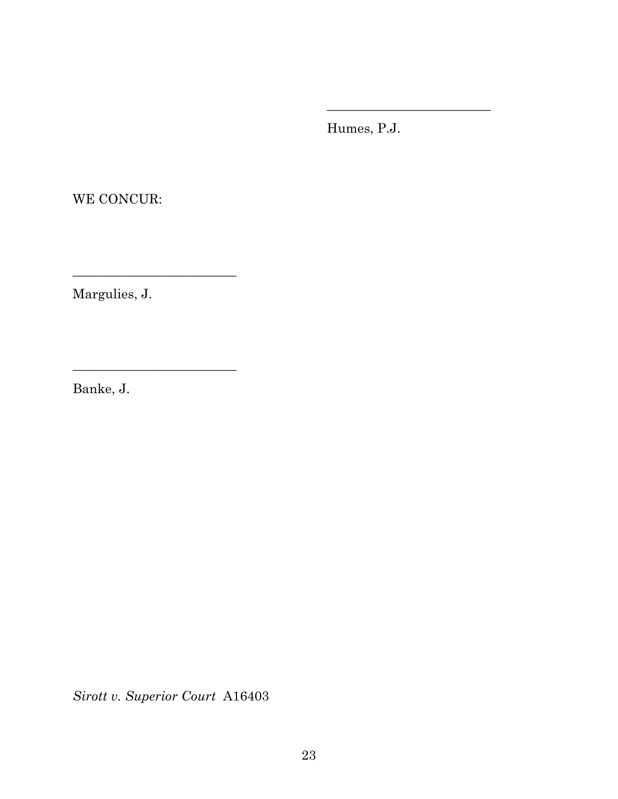Humes, P.J.

\_\_\_\_\_\_\_\_\_\_\_\_\_\_\_\_\_\_\_\_\_\_\_\_\_

WE CONCUR:

Margulies, J.

\_\_\_\_\_\_\_\_\_\_\_\_\_\_\_\_\_\_\_\_\_\_\_\_\_

\_\_\_\_\_\_\_\_\_\_\_\_\_\_\_\_\_\_\_\_\_\_\_\_\_

Banke, J.

*Sirott v. Superior Court* A16403